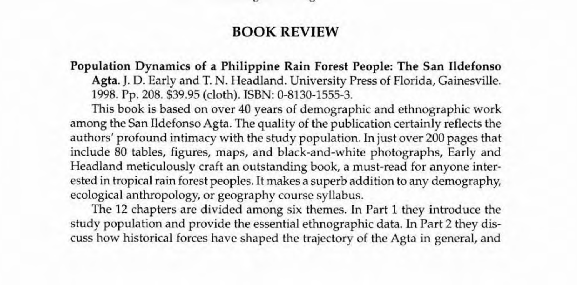## BOOK REVIEW

Population Dynamics of a Philippine Rain Forest People: The San I1defonso Agta. J. D. Early and T. N. Headland. University Press of Florida, Gainesville. 1998. Pp. 208. \$39.95 (cloth). ISBN: 0-8130-1555-3.

This book is based on over 40 years of demographic and ethnographic work among the San Ildefonso Agta. The quality of the publication certainly reflects the authors' profound intimacy with the study population. In just over 200 pages that include 80 tables, figures, maps, and black-and-white photographs, Early and Headland meticulously craft an outstanding book, a must-read for anyone interested in tropical rain forest peoples. It makes a superb addition to any demography, ecological anthropology, or geography course syllabus.

The 12 chapters are divided among six themes. In Part 1 they introduce the study population and provide the essential ethnographic data. In Part 2 they discuss how historical forces have shaped the trajectory of the Agta in general, and